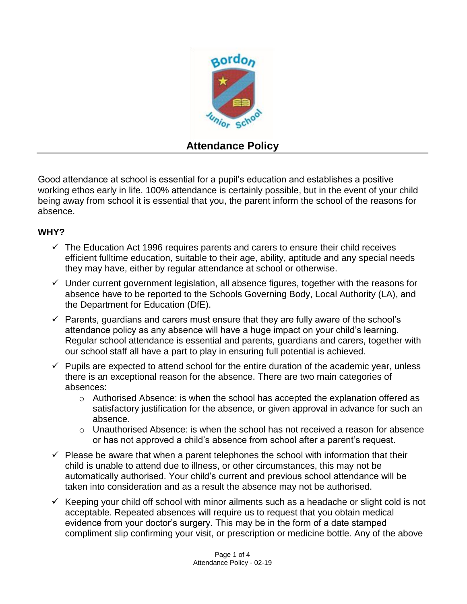

# **Attendance Policy**

Good attendance at school is essential for a pupil's education and establishes a positive working ethos early in life. 100% attendance is certainly possible, but in the event of your child being away from school it is essential that you, the parent inform the school of the reasons for absence.

## **WHY?**

- $\checkmark$  The Education Act 1996 requires parents and carers to ensure their child receives efficient fulltime education, suitable to their age, ability, aptitude and any special needs they may have, either by regular attendance at school or otherwise.
- $\checkmark$  Under current government legislation, all absence figures, together with the reasons for absence have to be reported to the Schools Governing Body, Local Authority (LA), and the Department for Education (DfE).
- $\checkmark$  Parents, guardians and carers must ensure that they are fully aware of the school's attendance policy as any absence will have a huge impact on your child's learning. Regular school attendance is essential and parents, guardians and carers, together with our school staff all have a part to play in ensuring full potential is achieved.
- $\checkmark$  Pupils are expected to attend school for the entire duration of the academic year, unless there is an exceptional reason for the absence. There are two main categories of absences:
	- $\circ$  Authorised Absence: is when the school has accepted the explanation offered as satisfactory justification for the absence, or given approval in advance for such an absence.
	- $\circ$  Unauthorised Absence: is when the school has not received a reason for absence or has not approved a child's absence from school after a parent's request.
- $\checkmark$  Please be aware that when a parent telephones the school with information that their child is unable to attend due to illness, or other circumstances, this may not be automatically authorised. Your child's current and previous school attendance will be taken into consideration and as a result the absence may not be authorised.
- $\checkmark$  Keeping your child off school with minor ailments such as a headache or slight cold is not acceptable. Repeated absences will require us to request that you obtain medical evidence from your doctor's surgery. This may be in the form of a date stamped compliment slip confirming your visit, or prescription or medicine bottle. Any of the above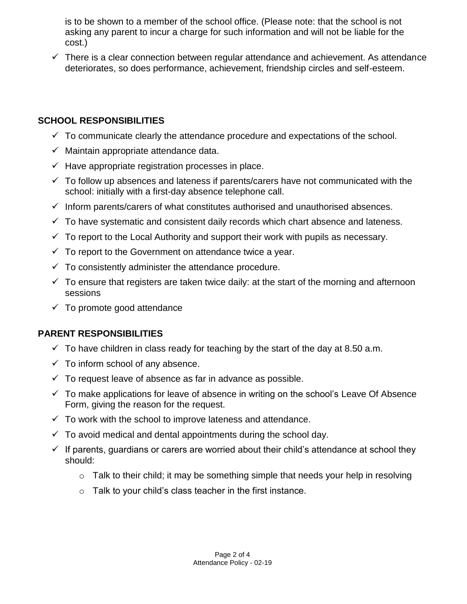is to be shown to a member of the school office. (Please note: that the school is not asking any parent to incur a charge for such information and will not be liable for the cost.)

 $\checkmark$  There is a clear connection between regular attendance and achievement. As attendance deteriorates, so does performance, achievement, friendship circles and self-esteem.

## **SCHOOL RESPONSIBILITIES**

- $\checkmark$  To communicate clearly the attendance procedure and expectations of the school.
- $\checkmark$  Maintain appropriate attendance data.
- $\checkmark$  Have appropriate registration processes in place.
- $\checkmark$  To follow up absences and lateness if parents/carers have not communicated with the school: initially with a first-day absence telephone call.
- $\checkmark$  Inform parents/carers of what constitutes authorised and unauthorised absences.
- $\checkmark$  To have systematic and consistent daily records which chart absence and lateness.
- $\checkmark$  To report to the Local Authority and support their work with pupils as necessary.
- $\checkmark$  To report to the Government on attendance twice a year.
- $\checkmark$  To consistently administer the attendance procedure.
- $\checkmark$  To ensure that registers are taken twice daily: at the start of the morning and afternoon sessions
- $\checkmark$  To promote good attendance

#### **PARENT RESPONSIBILITIES**

- $\checkmark$  To have children in class ready for teaching by the start of the day at 8.50 a.m.
- $\checkmark$  To inform school of any absence.
- $\checkmark$  To request leave of absence as far in advance as possible.
- $\checkmark$  To make applications for leave of absence in writing on the school's Leave Of Absence Form, giving the reason for the request.
- $\checkmark$  To work with the school to improve lateness and attendance.
- $\checkmark$  To avoid medical and dental appointments during the school day.
- $\checkmark$  If parents, guardians or carers are worried about their child's attendance at school they should:
	- $\circ$  Talk to their child; it may be something simple that needs your help in resolving
	- o Talk to your child's class teacher in the first instance.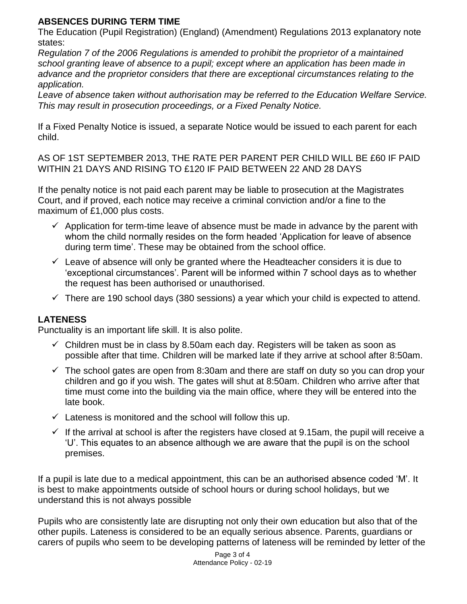#### **ABSENCES DURING TERM TIME**

The Education (Pupil Registration) (England) (Amendment) Regulations 2013 explanatory note states:

*Regulation 7 of the 2006 Regulations is amended to prohibit the proprietor of a maintained school granting leave of absence to a pupil; except where an application has been made in advance and the proprietor considers that there are exceptional circumstances relating to the application.*

*Leave of absence taken without authorisation may be referred to the Education Welfare Service. This may result in prosecution proceedings, or a Fixed Penalty Notice.*

If a Fixed Penalty Notice is issued, a separate Notice would be issued to each parent for each child.

AS OF 1ST SEPTEMBER 2013, THE RATE PER PARENT PER CHILD WILL BE £60 IF PAID WITHIN 21 DAYS AND RISING TO £120 IF PAID BETWEEN 22 AND 28 DAYS

If the penalty notice is not paid each parent may be liable to prosecution at the Magistrates Court, and if proved, each notice may receive a criminal conviction and/or a fine to the maximum of £1,000 plus costs.

- $\checkmark$  Application for term-time leave of absence must be made in advance by the parent with whom the child normally resides on the form headed 'Application for leave of absence during term time'. These may be obtained from the school office.
- $\checkmark$  Leave of absence will only be granted where the Headteacher considers it is due to 'exceptional circumstances'. Parent will be informed within 7 school days as to whether the request has been authorised or unauthorised.
- $\checkmark$  There are 190 school days (380 sessions) a year which your child is expected to attend.

# **LATENESS**

Punctuality is an important life skill. It is also polite.

- $\checkmark$  Children must be in class by 8.50am each day. Registers will be taken as soon as possible after that time. Children will be marked late if they arrive at school after 8:50am.
- $\checkmark$  The school gates are open from 8:30am and there are staff on duty so you can drop your children and go if you wish. The gates will shut at 8:50am. Children who arrive after that time must come into the building via the main office, where they will be entered into the late book.
- $\checkmark$  Lateness is monitored and the school will follow this up.
- $\checkmark$  If the arrival at school is after the registers have closed at 9.15am, the pupil will receive a 'U'. This equates to an absence although we are aware that the pupil is on the school premises.

If a pupil is late due to a medical appointment, this can be an authorised absence coded 'M'. It is best to make appointments outside of school hours or during school holidays, but we understand this is not always possible

Pupils who are consistently late are disrupting not only their own education but also that of the other pupils. Lateness is considered to be an equally serious absence. Parents, guardians or carers of pupils who seem to be developing patterns of lateness will be reminded by letter of the

> Page 3 of 4 Attendance Policy - 02-19